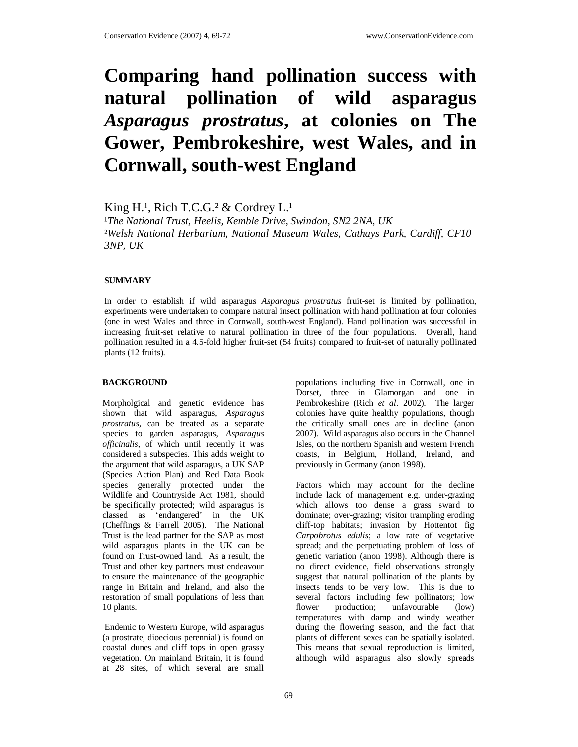# **Comparing hand pollination success with natural pollination of wild asparagus**  *Asparagus prostratus***, at colonies on The Gower, Pembrokeshire, west Wales, and in Cornwall, south-west England**

King H.<sup>1</sup>, Rich T.C.G.<sup>2</sup> & Cordrey L.<sup>1</sup>

<sup>1</sup>The National Trust, Heelis, Kemble Drive, Swindon, SN2 2NA, UK ²*Welsh National Herbarium, National Museum Wales, Cathays Park, Cardiff, CF10 3NP, UK* 

## **SUMMARY**

In order to establish if wild asparagus *Asparagus prostratus* fruit-set is limited by pollination, experiments were undertaken to compare natural insect pollination with hand pollination at four colonies (one in west Wales and three in Cornwall, south-west England). Hand pollination was successful in increasing fruit-set relative to natural pollination in three of the four populations. Overall, hand pollination resulted in a 4.5-fold higher fruit-set (54 fruits) compared to fruit-set of naturally pollinated plants (12 fruits).

### **BACKGROUND**

Morpholgical and genetic evidence has shown that wild asparagus, *Asparagus prostratus*, can be treated as a separate species to garden asparagus, *Asparagus officinalis*, of which until recently it was considered a subspecies. This adds weight to the argument that wild asparagus, a UK SAP (Species Action Plan) and Red Data Book species generally protected under the Wildlife and Countryside Act 1981, should be specifically protected; wild asparagus is classed as 'endangered' in the UK (Cheffings & Farrell 2005). The National Trust is the lead partner for the SAP as most wild asparagus plants in the UK can be found on Trust-owned land. As a result, the Trust and other key partners must endeavour to ensure the maintenance of the geographic range in Britain and Ireland, and also the restoration of small populations of less than 10 plants.

 Endemic to Western Europe, wild asparagus (a prostrate, dioecious perennial) is found on coastal dunes and cliff tops in open grassy vegetation. On mainland Britain, it is found at 28 sites, of which several are small

populations including five in Cornwall, one in Dorset, three in Glamorgan and one in Pembrokeshire (Rich *et al*. 2002). The larger colonies have quite healthy populations, though the critically small ones are in decline (anon 2007). Wild asparagus also occurs in the Channel Isles, on the northern Spanish and western French coasts, in Belgium, Holland, Ireland, and previously in Germany (anon 1998).

Factors which may account for the decline include lack of management e.g. under-grazing which allows too dense a grass sward to dominate; over-grazing; visitor trampling eroding cliff-top habitats; invasion by Hottentot fig *Carpobrotus edulis*; a low rate of vegetative spread; and the perpetuating problem of loss of genetic variation (anon 1998). Although there is no direct evidence, field observations strongly suggest that natural pollination of the plants by insects tends to be very low. This is due to several factors including few pollinators; low flower production; unfavourable (low) temperatures with damp and windy weather during the flowering season, and the fact that plants of different sexes can be spatially isolated. This means that sexual reproduction is limited, although wild asparagus also slowly spreads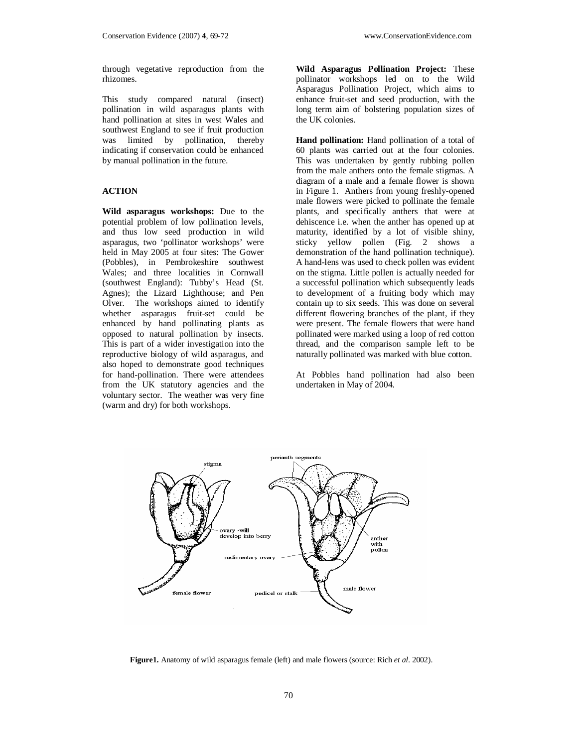through vegetative reproduction from the rhizomes.

This study compared natural (insect) pollination in wild asparagus plants with hand pollination at sites in west Wales and southwest England to see if fruit production was limited by pollination, thereby indicating if conservation could be enhanced by manual pollination in the future.

# **ACTION**

**Wild asparagus workshops:** Due to the potential problem of low pollination levels, and thus low seed production in wild asparagus, two 'pollinator workshops' were held in May 2005 at four sites: The Gower (Pobbles), in Pembrokeshire southwest Wales; and three localities in Cornwall (southwest England): Tubby's Head (St. Agnes); the Lizard Lighthouse; and Pen Olver. The workshops aimed to identify whether asparagus fruit-set could be enhanced by hand pollinating plants as opposed to natural pollination by insects. This is part of a wider investigation into the reproductive biology of wild asparagus, and also hoped to demonstrate good techniques for hand-pollination. There were attendees from the UK statutory agencies and the voluntary sector. The weather was very fine (warm and dry) for both workshops.

**Wild Asparagus Pollination Project:** These pollinator workshops led on to the Wild Asparagus Pollination Project, which aims to enhance fruit-set and seed production, with the long term aim of bolstering population sizes of the UK colonies.

**Hand pollination:** Hand pollination of a total of 60 plants was carried out at the four colonies. This was undertaken by gently rubbing pollen from the male anthers onto the female stigmas. A diagram of a male and a female flower is shown in Figure 1. Anthers from young freshly-opened male flowers were picked to pollinate the female plants, and specifically anthers that were at dehiscence i.e. when the anther has opened up at maturity, identified by a lot of visible shiny, sticky yellow pollen (Fig. 2 shows a demonstration of the hand pollination technique). A hand-lens was used to check pollen was evident on the stigma. Little pollen is actually needed for a successful pollination which subsequently leads to development of a fruiting body which may contain up to six seeds. This was done on several different flowering branches of the plant, if they were present. The female flowers that were hand pollinated were marked using a loop of red cotton thread, and the comparison sample left to be naturally pollinated was marked with blue cotton.

At Pobbles hand pollination had also been undertaken in May of 2004.



**Figure1.** Anatomy of wild asparagus female (left) and male flowers (source: Rich *et al*. 2002).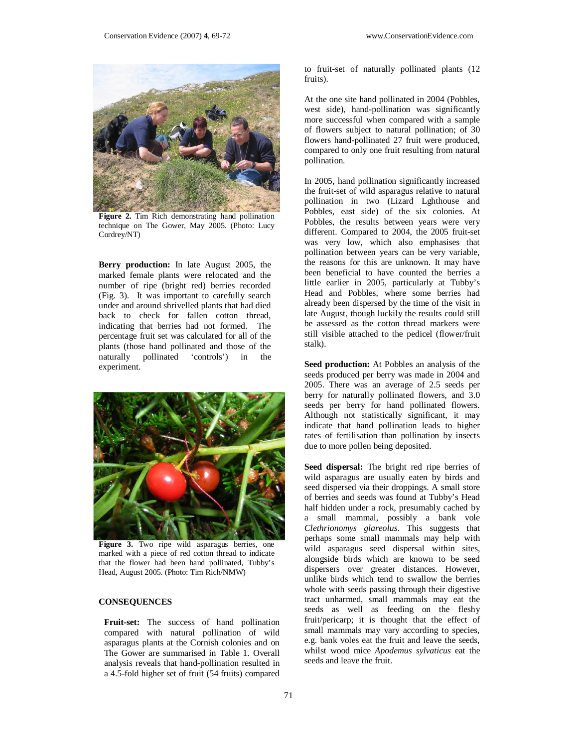

**Figure 2.** Tim Rich demonstrating hand pollination technique on The Gower, May 2005. (Photo: Lucy Cordrey/NT)

**Berry production:** In late August 2005, the marked female plants were relocated and the number of ripe (bright red) berries recorded (Fig. 3). It was important to carefully search under and around shrivelled plants that had died back to check for fallen cotton thread, indicating that berries had not formed. The percentage fruit set was calculated for all of the plants (those hand pollinated and those of the naturally pollinated 'controls') in the experiment.



**Figure 3.** Two ripe wild asparagus berries, one marked with a piece of red cotton thread to indicate that the flower had been hand pollinated, Tubby's Head, August 2005. (Photo: Tim Rich/NMW)

### **CONSEQUENCES**

**Fruit-set:** The success of hand pollination compared with natural pollination of wild asparagus plants at the Cornish colonies and on The Gower are summarised in Table 1. Overall analysis reveals that hand-pollination resulted in a 4.5-fold higher set of fruit (54 fruits) compared

to fruit-set of naturally pollinated plants (12 fruits).

At the one site hand pollinated in 2004 (Pobbles, west side), hand-pollination was significantly more successful when compared with a sample of flowers subject to natural pollination; of 30 flowers hand-pollinated 27 fruit were produced, compared to only one fruit resulting from natural pollination.

In 2005, hand pollination significantly increased the fruit-set of wild asparagus relative to natural pollination in two (Lizard Lghthouse and Pobbles, east side) of the six colonies. At Pobbles, the results between years were very different. Compared to 2004, the 2005 fruit-set was very low, which also emphasises that pollination between years can be very variable, the reasons for this are unknown. It may have been beneficial to have counted the berries a little earlier in 2005, particularly at Tubby's Head and Pobbles, where some berries had already been dispersed by the time of the visit in late August, though luckily the results could still be assessed as the cotton thread markers were still visible attached to the pedicel (flower/fruit stalk).

**Seed production:** At Pobbles an analysis of the seeds produced per berry was made in 2004 and 2005. There was an average of 2.5 seeds per berry for naturally pollinated flowers, and 3.0 seeds per berry for hand pollinated flowers. Although not statistically significant, it may indicate that hand pollination leads to higher rates of fertilisation than pollination by insects due to more pollen being deposited.

**Seed dispersal:** The bright red ripe berries of wild asparagus are usually eaten by birds and seed dispersed via their droppings. A small store of berries and seeds was found at Tubby's Head half hidden under a rock, presumably cached by a small mammal, possibly a bank vole *Clethrionomys glareolus*. This suggests that perhaps some small mammals may help with wild asparagus seed dispersal within sites, alongside birds which are known to be seed dispersers over greater distances. However, unlike birds which tend to swallow the berries whole with seeds passing through their digestive tract unharmed, small mammals may eat the seeds as well as feeding on the fleshy fruit/pericarp; it is thought that the effect of small mammals may vary according to species, e.g. bank voles eat the fruit and leave the seeds, whilst wood mice *Apodemus sylvaticus* eat the seeds and leave the fruit.